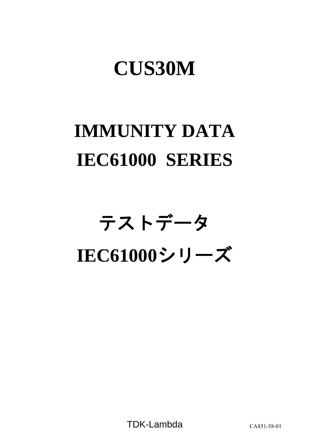## **CUS30M**

# **IMMUNITY DATA IEC61000 SERIES**

# テストデータ **IEC61000**シリーズ

TDK-Lambda CA851-58-01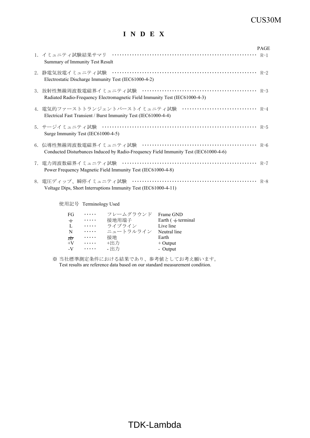### CUS30M

## **I N D E X**

|                                                                                                                                      | <b>PAGE</b> |
|--------------------------------------------------------------------------------------------------------------------------------------|-------------|
| Summary of Immunity Test Result                                                                                                      |             |
| Electrostatic Discharge Immunity Test (IEC61000-4-2)                                                                                 |             |
| Radiated Radio-Frequency Electromagnetic Field Immunity Test (IEC61000-4-3)                                                          |             |
| 4. 電気的ファーストトランジェントバーストイミュニティ試験 ······························· R-4<br>Electrical Fast Transient / Burst Immunity Test (IEC61000-4-4) |             |
| Surge Immunity Test (IEC61000-4-5)                                                                                                   |             |
| Conducted Disturbances Induced by Radio-Frequency Field Immunity Test (IEC61000-4-6)                                                 |             |
| Power Frequency Magnetic Field Immunity Test (IEC61000-4-8)                                                                          |             |
| Voltage Dips, Short Interruptions Immunity Test (IEC61000-4-11)                                                                      |             |

使用記号 Terminology Used

| FG               | $\cdots$ | フレームグラウンド | Frame GND                |
|------------------|----------|-----------|--------------------------|
| $\div$           | .        | 接地用端子     | Earth $($ $\pm$ terminal |
| L                | $\cdots$ | ライブライン    | Live line                |
| N                | .        | ニュートラルライン | Neutral line             |
| $\overline{\pi}$ | .        | 接地        | Earth                    |
| $+V$             | $\cdots$ | +出力       | $+$ Output               |
| $-V$             | $\cdots$ | - 出力      | - Output                 |

※ 当社標準測定条件における結果であり、参考値としてお考え願います。 Test results are reference data based on our standard measurement condition.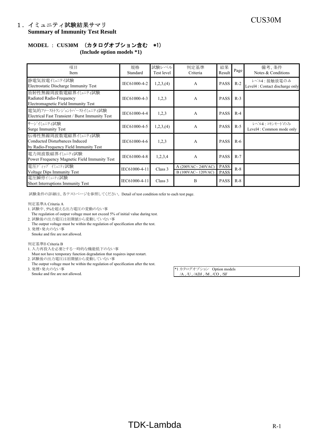## CUS30M 1.イミュニティ試験結果サマリ **Summary of Immunity Test Result**

## **MODEL** : **CUS30M** (カタログオプション含む \*1)

**(Include option models \*1)**

| 項目<br>Item                                                                                      | 規格<br>Standard | 試験レベル<br>Test level | 判定基準<br>Criteria                         | 結果<br>Result               | Page  | 備考、条件<br>Notes & Conditions                    |
|-------------------------------------------------------------------------------------------------|----------------|---------------------|------------------------------------------|----------------------------|-------|------------------------------------------------|
| 静電気放電イミュニテイ試験<br>Electrostatic Discharge Immunity Test                                          | IEC61000-4-2   | 1,2,3, (4)          | A                                        | <b>PASS</b>                | $R-2$ | レベル4:接触放電のみ<br>Level4 : Contact discharge only |
| 放射性無線周波数電磁界イミュニティ試験<br>Radiated Radio-Frequency<br>Electromagnetic Field Immunity Test          | IEC61000-4-3   | 1,2,3               | A                                        | <b>PASS</b>                | $R-3$ |                                                |
| 雷気的ファーストトランジェントハーストイミュニティ試験<br>Electrical Fast Transient / Burst Immunity Test                  | IEC61000-4-4   | 1,2,3               | A                                        | <b>PASS</b>                | $R-4$ |                                                |
| サージイミュニティ試験<br><b>Surge Immunity Test</b>                                                       | IEC61000-4-5   | 1,2,3, (4)          | A                                        | <b>PASS</b>                | $R-5$ | レベル4:コモンモードのみ<br>Level4 : Common mode only     |
| 伝導性無線周波数電磁界イミュニティ試験<br>Conducted Disturbances Induced<br>by Radio-Frequency Field Immunity Test | IEC61000-4-6   | 1,2,3               | A                                        | <b>PASS</b>                | $R-6$ |                                                |
| 電力周波数磁界代ュニティ試験<br>Power Frequency Magnetic Field Immunity Test                                  | IEC61000-4-8   | 1,2,3,4             | A                                        | <b>PASS</b>                | $R-7$ |                                                |
| 電圧ディップ バュニティ試験<br><b>Voltage Dips Immunity Test</b>                                             | IEC61000-4-11  | Class 3             | A $(200VAC~240VAC)$<br>B (100VAC~120VAC) | <b>PASS</b><br><b>PASS</b> | $R-8$ |                                                |
| 電圧瞬停イミュニティ試験<br>Short Interruptions Immunity Test                                               | IEC61000-4-11  | Class 3             | B                                        | <b>PASS</b>                | $R-8$ |                                                |

試験条件の詳細は、各テストページを参照してください。 Detail of test condition refer to each test page.

判定基準A Criteria A

- 1. 試験中、5%を超える出力電圧の変動のない事
- The regulation of output voltage must not exceed 5% of initial value during test.
- 2. 試験後の出力電圧は初期値から変動していない事 The output voltage must be within the regulation of specification after the test. 3. 発煙・発火のない事
- Smoke and fire are not allowed.

#### 判定基準B Criteria B

- 1. 入力再投入を必要とする一時的な機能低下のない事
- Must not have temporary function degradation that requires input restart.
- 2. 試験後の出力電圧は初期値から変動していない事
- The output voltage must be within the regulation of specification after the test.<br>3.  $\mathcal{H}\mathbb{H}\times\mathcal{H}\otimes\mathcal{H}\times\mathcal{H}$ 
	-

\*1 カタログオプション Option models Smoke and fire are not allowed. /A , /U , /ADJ , /M , /CO , /SF

## $TDK-Lambda$  R-1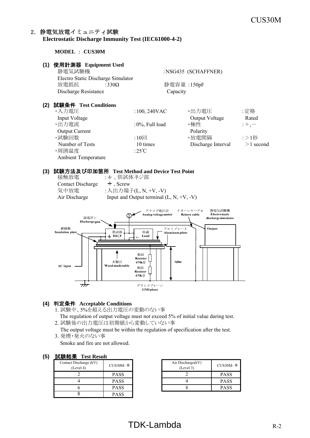#### 2.静電気放電イミュニティ試験 **Electrostatic Discharge Immunity Test (IEC61000-4-2)**

**MODEL** : **CUS30M**

#### **(1)** 使用計測器 **Equipment Used**

Ambient Temperature

| UL  | 使用計測益 Equipment Used               |                    |                     |             |
|-----|------------------------------------|--------------------|---------------------|-------------|
|     | 静電気試験機                             |                    | :NSG435 (SCHAFFNER) |             |
|     | Electro Static Discharge Simulator |                    |                     |             |
|     | 放電抵抗<br>:330 $\Omega$              |                    | 静電容量: 150pF         |             |
|     | Discharge Resistance               |                    | Capacity            |             |
| (2) | 試験条件 Test Conditions               |                    |                     |             |
|     | ・入力電圧                              | $:100, 240$ VAC    | ・出力電圧               | :定格         |
|     | Input Voltage                      |                    | Output Voltage      | Rated       |
|     | ・出力電流                              | $:0\%$ , Full load | ・極性                 | $;+, -$     |
|     | <b>Output Current</b>              |                    | Polarity            |             |
|     | ・試験回数                              | $:10 \Box$         | ・放電間隔               | :>1秒        |
|     | Number of Tests                    | 10 times           | Discharge Interval  | $>1$ second |
|     | ·周囲温度                              | :25 $\degree$ C    |                     |             |

#### **(3)** 試験方法及び印加箇所 **Test Method and Device Test Point**

| 接触放電              | : +、供試体ネジ部                                 |
|-------------------|--------------------------------------------|
| Contact Discharge | $\pm$ , Screw                              |
| 気中放電              | :入出力端子(L, N, +V, -V)                       |
| Air Discharge     | Input and Output terminal $(L, N, +V, -V)$ |
|                   |                                            |



#### **(4)** 判定条件 **Acceptable Conditions**

1. 試験中、5%を超える出力電圧の変動のない事

The regulation of output voltage must not exceed 5% of initial value during test.

2. 試験後の出力電圧は初期値から変動していない事

 The output voltage must be within the regulation of specification after the test. 3. 発煙・発火のない事

Smoke and fire are not allowed.

#### **(5)** 試験結果 **Test Result**

| Contact Discharge (kV)<br>(Level 4) | CUS30M-*    |
|-------------------------------------|-------------|
|                                     | <b>PASS</b> |
|                                     | <b>PASS</b> |
|                                     | <b>PASS</b> |
|                                     | PASS        |

| $CUS30M-*$  | Air Discharge(kV)<br>(Level 3) | $CUS30M-$ * |
|-------------|--------------------------------|-------------|
| <b>PASS</b> |                                | <b>PASS</b> |
| <b>PASS</b> |                                | <b>PASS</b> |
| <b>PASS</b> |                                | <b>PASS</b> |

## $TDK-Lambda$  R-2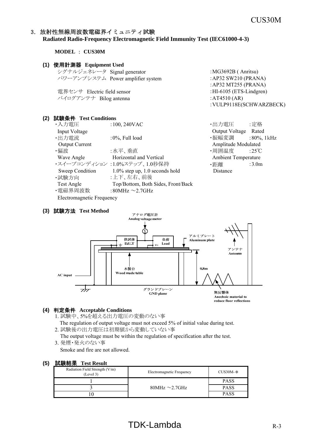$: MG3692B$  (Anritsu) : AP32 SW210 (PRANA) :AP32 MT255 (PRANA)

:VULP9118E(SCHWARZBECK)

#### 3.放射性無線周波数電磁界イミュニティ試験 **Radiated Radio-Frequency Electromagnetic Field Immunity Test (IEC61000-4-3)**

**MODEL** : **CUS30M**

#### **(1)** 使用計測器 **Equipment Used**

| シグナルジェネレータ Signal generator |                                   |
|-----------------------------|-----------------------------------|
|                             | パワーアンプシステム Power amplifier system |

電界センサ Electric field sensor :HI-6105 (ETS-Lindgren) バイログアンテナ Bilog antenna  $\cdot$  :AT4510 (AR)

#### **(2)** 試験条件 **Test Conditions**

| ・入力電圧                     | $:100, 240$ VAC                    | ・出力電圧                      | :定格                     |
|---------------------------|------------------------------------|----------------------------|-------------------------|
| <b>Input Voltage</b>      |                                    | Output Voltage Rated       |                         |
| ・出力電流                     | $:0\%$ , Full load                 | ・振幅変調                      | $:80\%$ , 1 kHz         |
| <b>Output Current</b>     |                                    | Amplitude Modulated        |                         |
| ・偏波                       | :水平、垂直                             | ・周囲温度                      | $:25^{\circ}\mathrm{C}$ |
| Wave Angle                | Horizontal and Vertical            | <b>Ambient Temperature</b> |                         |
|                           | ・スイープコンディション :1.0%ステップ、1.0秒保持      | ・距離                        | :3.0m                   |
| Sweep Condition           | $1.0\%$ step up, 1.0 seconds hold  | Distance                   |                         |
| ・試験方向                     | :上下、左右、前後                          |                            |                         |
| Test Angle                | Top/Bottom, Both Sides, Front/Back |                            |                         |
| ・電磁界周波数                   | :80MHz $\sim$ 2.7GHz               |                            |                         |
| Electromagnetic Frequency |                                    |                            |                         |

#### **(3)** 試験方法 **Test Method**





Anechoic material to reduce floor reflections

#### **(4)** 判定条件 **Acceptable Conditions**

- 1. 試験中、5%を超える出力電圧の変動のない事
- The regulation of output voltage must not exceed 5% of initial value during test. 2. 試験後の出力電圧は初期値から変動していない事
- The output voltage must be within the regulation of specification after the test. 3. 発煙・発火のない事

Smoke and fire are not allowed.

| Radiation Field Strength (V/m)<br>(Level 3) | Electromagnetic Frequency | $CUS30M-*$  |
|---------------------------------------------|---------------------------|-------------|
|                                             | 80MHz $\sim$ 2.7GHz       | <b>PASS</b> |
|                                             |                           | <b>PASS</b> |
|                                             |                           | <b>PASS</b> |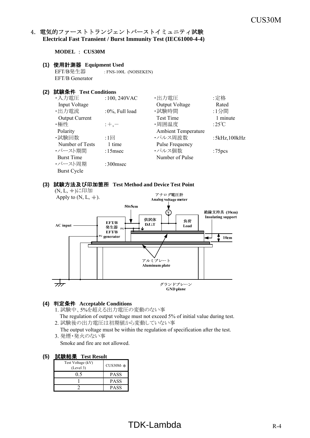#### 4. 電気的ファーストトランジェントバーストイミュニティ試験 **Electrical Fast Transient / Burst Immunity Test (IEC61000-4-4)**

**MODEL** : **CUS30M**

#### **(1)** 使用計測器 **Equipment Used**

EFT/B発生器 : FNS-100L (NOISEKEN) EFT/B Generator

#### **(2)** 試験条件 **Test Conditions**

| ・入力電圧                 | $:100,240$ VAC | ・出力電圧                      | :定格                 |
|-----------------------|----------------|----------------------------|---------------------|
| Input Voltage         |                | Output Voltage             | Rated               |
| ・出力電流                 | :0%, Full load | ・試験時間                      | :1分間                |
| <b>Output Current</b> |                | <b>Test Time</b>           | 1 minute            |
| ・極性                   | $: +, -$       | ・周囲温度                      | :25 $\mathrm{C}$    |
| Polarity              |                | <b>Ambient Temperature</b> |                     |
| ・試験回数                 | :1回            | ・パルス周波数                    | : $5kHz$ , $100kHz$ |
| Number of Tests       | 1 time         | Pulse Frequency            |                     |
| ・バースト期間               | $:15$ msec     | ・パルス個数                     | :75 <sub>pcs</sub>  |
| <b>Burst Time</b>     |                | Number of Pulse            |                     |
| ・バースト周期               | $:300$ msec    |                            |                     |
| <b>Burst Cycle</b>    |                |                            |                     |

#### **(3)** 試験方法及び印加箇所 **Test Method and Device Test Point**



#### **(4)** 判定条件 **Acceptable Conditions**

- 1. 試験中、5%を超える出力電圧の変動のない事
- The regulation of output voltage must not exceed 5% of initial value during test. 2. 試験後の出力電圧は初期値から変動していない事
- The output voltage must be within the regulation of specification after the test. 3. 発煙・発火のない事
	- Smoke and fire are not allowed.

| Test Voltage (kV)<br>(Level 3) | $CUS30M-*$  |
|--------------------------------|-------------|
| ງ 5                            | PASS        |
|                                | PASS        |
|                                | <b>PASS</b> |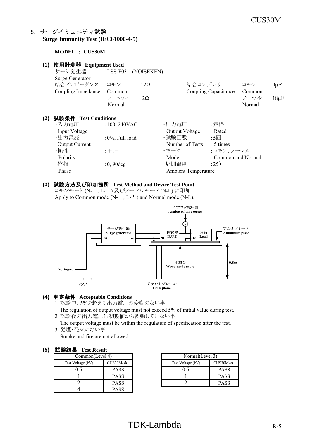#### 5.サージイミュニティ試験 **Surge Immunity Test (IEC61000-4-5)**

#### **MODEL** : **CUS30M**

| (1) | 使用計測器 Equipment Used  |                     |            |                            |                      |                   |           |
|-----|-----------------------|---------------------|------------|----------------------------|----------------------|-------------------|-----------|
|     | サージ発生器                | : $LSS-F03$         | (NOISEKEN) |                            |                      |                   |           |
|     | Surge Generator       |                     |            |                            |                      |                   |           |
|     | 結合インピーダンス :コモン        |                     | $12\Omega$ | 結合コンデンサ                    |                      | :コモン              | $9\mu$ F  |
|     | Coupling Impedance    | Common              |            |                            | Coupling Capacitance | Common            |           |
|     |                       | ノーマル                | $2\Omega$  |                            |                      | ノーマル              | $18\mu F$ |
|     |                       | Normal              |            |                            |                      | Normal            |           |
| (2) | 試験条件 Test Conditions  |                     |            |                            |                      |                   |           |
|     | ・入力電圧                 | $:100,240$ VAC      |            | ・出力電圧                      | :定格                  |                   |           |
|     | Input Voltage         |                     |            | Output Voltage             | Rated                |                   |           |
|     | ·出力電流                 | : $0\%$ , Full load |            | ・試験回数                      | $:5\Box$             |                   |           |
|     | <b>Output Current</b> |                     |            | Number of Tests            | 5 times              |                   |           |
|     | ・極性                   | $: +, -$            |            | ・モード                       | :コモン、ノーマル            |                   |           |
|     | Polarity              |                     |            | Mode                       |                      | Common and Normal |           |
|     | ・位相                   | $:0,90$ deg         |            | ·周囲温度                      | :25°C                |                   |           |
|     | Phase                 |                     |            | <b>Ambient Temperature</b> |                      |                   |           |
|     |                       |                     |            |                            |                      |                   |           |

#### **(3)** 試験方法及び印加箇所 **Test Method and Device Test Point**

コモンモード (N- +, L- +) 及びノーマルモード (N-L) に印加 Apply to Common mode ( $N-\frac{+}{2}$ ,  $L-\frac{+}{2}$ ) and Normal mode (N-L).



#### **(4)** 判定条件 **Acceptable Conditions**

- 1. 試験中、5%を超える出力電圧の変動のない事
- The regulation of output voltage must not exceed 5% of initial value during test.
- 2. 試験後の出力電圧は初期値から変動していない事

The output voltage must be within the regulation of specification after the test.

3. 発煙・発火のない事

Smoke and fire are not allowed.

#### **(5)** 試験結果 **Test Result**

| $-1.1$<br>----------- |             |  |                   |    |  |  |
|-----------------------|-------------|--|-------------------|----|--|--|
| Common(Level 4)       |             |  | Normal(Level 3)   |    |  |  |
| Test Voltage (kV)     | $CUS30M-*$  |  | Test Voltage (kV) | Cl |  |  |
|                       | <b>PASS</b> |  |                   |    |  |  |
|                       | <b>PASS</b> |  |                   |    |  |  |
|                       | PASS        |  |                   |    |  |  |
|                       | <b>PASS</b> |  |                   |    |  |  |

| $\overline{4}$ | Normal(Level 3)   |             |  |
|----------------|-------------------|-------------|--|
| CUS30M-∗       | Test Voltage (kV) | $CUS30M-*$  |  |
| <b>PASS</b>    | 05                | <b>PASS</b> |  |
| <b>PASS</b>    |                   | <b>PASS</b> |  |
| <b>PASS</b>    |                   | <b>PASS</b> |  |

## $TDK-Lambda$  R-5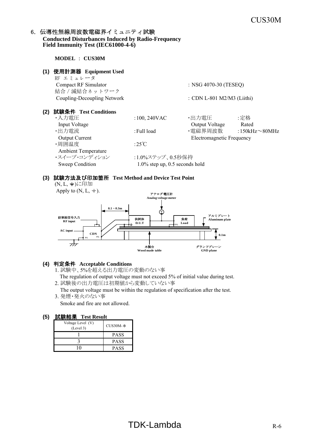#### 6. 伝導性無線周波数電磁界イミュニティ試験 **Conducted Disturbances Induced by Radio-Frequency Field Immunity Test (IEC61000-4-6)**

**MODEL** : **CUS30M**

| (1) | 使用計測器 Equipment Used<br>RF エミュレータ      |                                   |                            |                      |
|-----|----------------------------------------|-----------------------------------|----------------------------|----------------------|
|     | Compact RF Simulator<br>結合 / 減結合ネットワーク |                                   | : NSG 4070-30 (TESEQ)      |                      |
|     | Coupling-Decoupling Network            |                                   | : CDN L-801 M2/M3 (Liithi) |                      |
| (2) | 試験条件 Test Conditions                   |                                   |                            |                      |
|     | ・入力電圧                                  | $:100, 240$ VAC                   | ・出力電圧                      | :定格                  |
|     | Input Voltage                          |                                   | Output Voltage             | Rated                |
|     | ・出力電流                                  | : Full load                       | ・電磁界周波数                    | :150kHz $\sim$ 80MHz |
|     | <b>Output Current</b>                  |                                   | Electromagnetic Frequency  |                      |
|     | ·周囲温度                                  | :25 $\degree$ C                   |                            |                      |
|     | <b>Ambient Temperature</b>             |                                   |                            |                      |
|     | ・スイープ・コンディション                          | :1.0%ステップ、0.5秒保持                  |                            |                      |
|     | Sweep Condition                        | $1.0\%$ step up, 0.5 seconds hold |                            |                      |

#### **(3)** 試験方法及び印加箇所 **Test Method and Device Test Point**

(N, L, +)に印加



#### **(4)** 判定条件 **Acceptable Conditions**

- 1. 試験中、5%を超える出力電圧の変動のない事 The regulation of output voltage must not exceed 5% of initial value during test.
- 2. 試験後の出力電圧は初期値から変動していない事 The output voltage must be within the regulation of specification after the test.
- 3. 発煙・発火のない事 Smoke and fire are not allowed.

|                                | .           |  |  |  |  |
|--------------------------------|-------------|--|--|--|--|
| Voltage Level (V)<br>(Level 3) | $CUS30M-*$  |  |  |  |  |
|                                | <b>PASS</b> |  |  |  |  |
|                                | <b>PASS</b> |  |  |  |  |
|                                | <b>PASS</b> |  |  |  |  |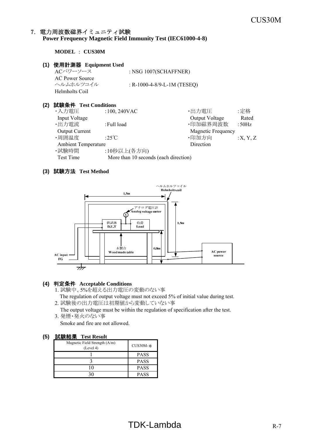#### 7.電力周波数磁界イミュニティ試験 **Power Frequency Magnetic Field Immunity Test (IEC61000-4-8)**

**MODEL** : **CUS30M**

#### **(1)** 使用計測器 **Equipment Used**

ACパワーソース : NSG 1007(SCHAFFNER) AC Power Source ヘルムホルツコイル : R-1000-4-8/9-L-1M (TESEQ) Helmholts Coil

#### **(2)** 試験条件 **Test Conditions**

| ・入力電圧                      | $:100,240$ VAC                        | ・出力電圧              | :定格      |
|----------------------------|---------------------------------------|--------------------|----------|
| Input Voltage              |                                       | Output Voltage     | Rated    |
| ・出力電流                      | : Full load                           | ·印加磁界周波数           | : $50Hz$ |
| <b>Output Current</b>      |                                       | Magnetic Frequency |          |
| ・周囲温度                      | :25 $\degree$ C                       | ·印加方向              | :X, Y, Z |
| <b>Ambient Temperature</b> |                                       | Direction          |          |
| ・試験時間                      | :10秒以上(各方向)                           |                    |          |
| Test Time                  | More than 10 seconds (each direction) |                    |          |

#### **(3)** 試験方法 **Test Method**



#### **(4)** 判定条件 **Acceptable Conditions**

- 1. 試験中、5%を超える出力電圧の変動のない事 The regulation of output voltage must not exceed 5% of initial value during test.
- 2. 試験後の出力電圧は初期値から変動していない事
- The output voltage must be within the regulation of specification after the test. 3. 発煙・発火のない事

Smoke and fire are not allowed.

| Magnetic Field Strength (A/m)<br>(Level 4) | $CUS30M-*$  |
|--------------------------------------------|-------------|
|                                            | <b>PASS</b> |
|                                            | <b>PASS</b> |
|                                            | <b>PASS</b> |
|                                            | <b>PASS</b> |